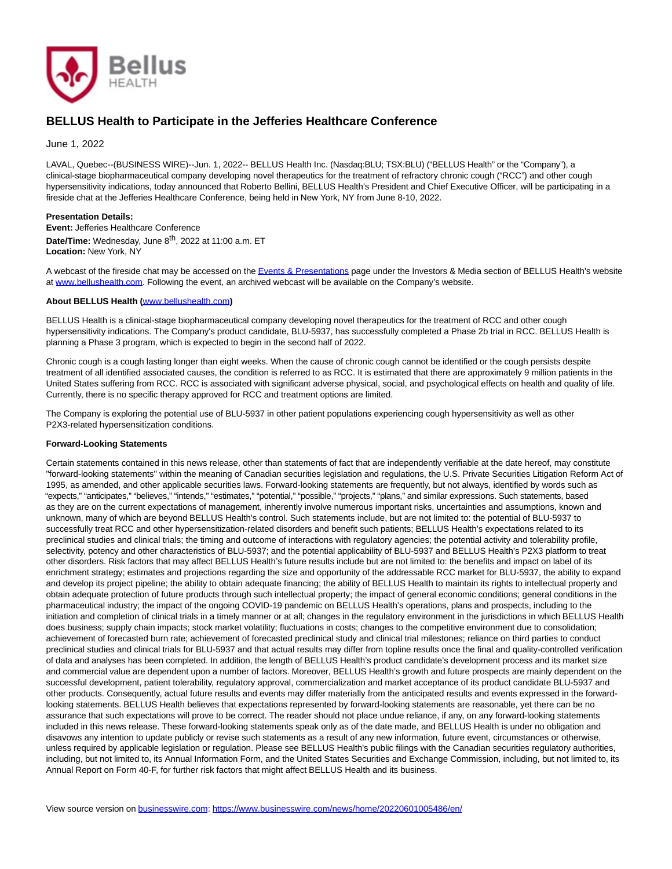

## **BELLUS Health to Participate in the Jefferies Healthcare Conference**

June 1, 2022

LAVAL, Quebec--(BUSINESS WIRE)--Jun. 1, 2022-- BELLUS Health Inc. (Nasdaq:BLU; TSX:BLU) ("BELLUS Health" or the "Company"), a clinical-stage biopharmaceutical company developing novel therapeutics for the treatment of refractory chronic cough ("RCC") and other cough hypersensitivity indications, today announced that Roberto Bellini, BELLUS Health's President and Chief Executive Officer, will be participating in a fireside chat at the Jefferies Healthcare Conference, being held in New York, NY from June 8-10, 2022.

## **Presentation Details:**

**Event:** Jefferies Healthcare Conference **Date/Time:** Wednesday, June 8th, 2022 at 11:00 a.m. ET **Location:** New York, NY

A webcast of the fireside chat may be accessed on th[e Events & Presentations p](https://cts.businesswire.com/ct/CT?id=smartlink&url=https%3A%2F%2Fir.bellushealth.com%2Fevents-presentations&esheet=52735975&newsitemid=20220601005486&lan=en-US&anchor=Events+%26amp%3B+Presentations&index=1&md5=7465b5049aa474e2272d496be57ffc67)age under the Investors & Media section of BELLUS Health's website at [www.bellushealth.com.](https://cts.businesswire.com/ct/CT?id=smartlink&url=http%3A%2F%2Fwww.bellushealth.com&esheet=52735975&newsitemid=20220601005486&lan=en-US&anchor=www.bellushealth.com&index=2&md5=d398061f65031d3881469c7d7d68f488) Following the event, an archived webcast will be available on the Company's website.

## **About BELLUS Health (**[www.bellushealth.com](https://cts.businesswire.com/ct/CT?id=smartlink&url=http%3A%2F%2Fwww.bellushealth.com&esheet=52735975&newsitemid=20220601005486&lan=en-US&anchor=www.bellushealth.com&index=3&md5=5167b85e74453e846f568fe80c4105a9)**)**

BELLUS Health is a clinical-stage biopharmaceutical company developing novel therapeutics for the treatment of RCC and other cough hypersensitivity indications. The Company's product candidate, BLU-5937, has successfully completed a Phase 2b trial in RCC. BELLUS Health is planning a Phase 3 program, which is expected to begin in the second half of 2022.

Chronic cough is a cough lasting longer than eight weeks. When the cause of chronic cough cannot be identified or the cough persists despite treatment of all identified associated causes, the condition is referred to as RCC. It is estimated that there are approximately 9 million patients in the United States suffering from RCC. RCC is associated with significant adverse physical, social, and psychological effects on health and quality of life. Currently, there is no specific therapy approved for RCC and treatment options are limited.

The Company is exploring the potential use of BLU-5937 in other patient populations experiencing cough hypersensitivity as well as other P2X3-related hypersensitization conditions.

## **Forward-Looking Statements**

Certain statements contained in this news release, other than statements of fact that are independently verifiable at the date hereof, may constitute "forward-looking statements" within the meaning of Canadian securities legislation and regulations, the U.S. Private Securities Litigation Reform Act of 1995, as amended, and other applicable securities laws. Forward-looking statements are frequently, but not always, identified by words such as "expects," "anticipates," "believes," "intends," "estimates," "potential," "possible," "projects," "plans," and similar expressions. Such statements, based as they are on the current expectations of management, inherently involve numerous important risks, uncertainties and assumptions, known and unknown, many of which are beyond BELLUS Health's control. Such statements include, but are not limited to: the potential of BLU-5937 to successfully treat RCC and other hypersensitization-related disorders and benefit such patients; BELLUS Health's expectations related to its preclinical studies and clinical trials; the timing and outcome of interactions with regulatory agencies; the potential activity and tolerability profile, selectivity, potency and other characteristics of BLU-5937; and the potential applicability of BLU-5937 and BELLUS Health's P2X3 platform to treat other disorders. Risk factors that may affect BELLUS Health's future results include but are not limited to: the benefits and impact on label of its enrichment strategy; estimates and projections regarding the size and opportunity of the addressable RCC market for BLU-5937, the ability to expand and develop its project pipeline; the ability to obtain adequate financing; the ability of BELLUS Health to maintain its rights to intellectual property and obtain adequate protection of future products through such intellectual property; the impact of general economic conditions; general conditions in the pharmaceutical industry; the impact of the ongoing COVID-19 pandemic on BELLUS Health's operations, plans and prospects, including to the initiation and completion of clinical trials in a timely manner or at all; changes in the regulatory environment in the jurisdictions in which BELLUS Health does business; supply chain impacts; stock market volatility; fluctuations in costs; changes to the competitive environment due to consolidation; achievement of forecasted burn rate; achievement of forecasted preclinical study and clinical trial milestones; reliance on third parties to conduct preclinical studies and clinical trials for BLU-5937 and that actual results may differ from topline results once the final and quality-controlled verification of data and analyses has been completed. In addition, the length of BELLUS Health's product candidate's development process and its market size and commercial value are dependent upon a number of factors. Moreover, BELLUS Health's growth and future prospects are mainly dependent on the successful development, patient tolerability, regulatory approval, commercialization and market acceptance of its product candidate BLU-5937 and other products. Consequently, actual future results and events may differ materially from the anticipated results and events expressed in the forwardlooking statements. BELLUS Health believes that expectations represented by forward-looking statements are reasonable, yet there can be no assurance that such expectations will prove to be correct. The reader should not place undue reliance, if any, on any forward-looking statements included in this news release. These forward-looking statements speak only as of the date made, and BELLUS Health is under no obligation and disavows any intention to update publicly or revise such statements as a result of any new information, future event, circumstances or otherwise, unless required by applicable legislation or regulation. Please see BELLUS Health's public filings with the Canadian securities regulatory authorities, including, but not limited to, its Annual Information Form, and the United States Securities and Exchange Commission, including, but not limited to, its Annual Report on Form 40-F, for further risk factors that might affect BELLUS Health and its business.